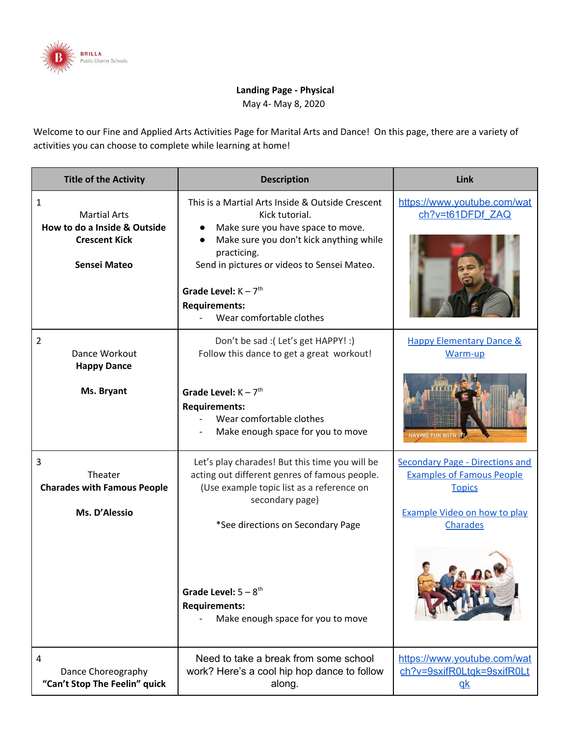

## **Landing Page - Physical**

May 4- May 8, 2020

Welcome to our Fine and Applied Arts Activities Page for Marital Arts and Dance! On this page, there are a variety of activities you can choose to complete while learning at home!

| <b>Title of the Activity</b>                                                                     | <b>Description</b>                                                                                                                                                                                                                                                                             | Link                                                                                                                                                  |
|--------------------------------------------------------------------------------------------------|------------------------------------------------------------------------------------------------------------------------------------------------------------------------------------------------------------------------------------------------------------------------------------------------|-------------------------------------------------------------------------------------------------------------------------------------------------------|
| 1<br><b>Martial Arts</b><br>How to do a Inside & Outside<br><b>Crescent Kick</b><br>Sensei Mateo | This is a Martial Arts Inside & Outside Crescent<br>Kick tutorial.<br>Make sure you have space to move.<br>Make sure you don't kick anything while<br>practicing.<br>Send in pictures or videos to Sensei Mateo.<br>Grade Level: $K - 7th$<br><b>Requirements:</b><br>Wear comfortable clothes | https://www.youtube.com/wat<br>ch?v=t61DFDf ZAQ                                                                                                       |
| 2<br>Dance Workout<br><b>Happy Dance</b>                                                         | Don't be sad :( Let's get HAPPY! :)<br>Follow this dance to get a great workout!                                                                                                                                                                                                               | <b>Happy Elementary Dance &amp;</b><br>Warm-up                                                                                                        |
| Ms. Bryant                                                                                       | Grade Level: $K - 7$ <sup>th</sup><br><b>Requirements:</b><br>Wear comfortable clothes<br>Make enough space for you to move                                                                                                                                                                    | HAVING FUN WITH IT!                                                                                                                                   |
| 3<br>Theater<br><b>Charades with Famous People</b><br>Ms. D'Alessio                              | Let's play charades! But this time you will be<br>acting out different genres of famous people.<br>(Use example topic list as a reference on<br>secondary page)<br>*See directions on Secondary Page                                                                                           | <b>Secondary Page - Directions and</b><br><b>Examples of Famous People</b><br><b>Topics</b><br><b>Example Video on how to play</b><br><b>Charades</b> |
|                                                                                                  | Grade Level: $5 - 8$ <sup>th</sup><br><b>Requirements:</b><br>Make enough space for you to move                                                                                                                                                                                                |                                                                                                                                                       |
| 4<br>Dance Choreography<br>"Can't Stop The Feelin" quick                                         | Need to take a break from some school<br>work? Here's a cool hip hop dance to follow<br>along.                                                                                                                                                                                                 | https://www.youtube.com/wat<br>ch?v=9sxifR0Ltgk=9sxifR0Lt<br>$q$ <sub>k</sub>                                                                         |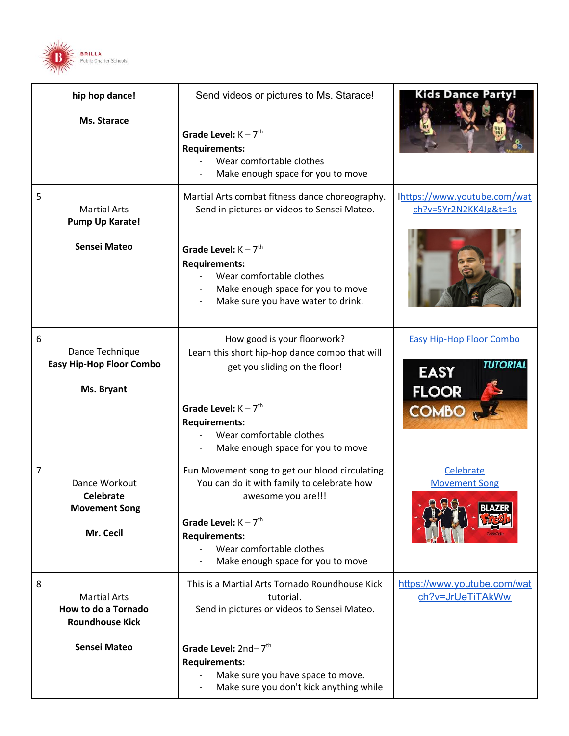

| hip hop dance!<br>Ms. Starace                                               | Send videos or pictures to Ms. Starace!<br>Grade Level: $K - 7$ <sup>th</sup><br><b>Requirements:</b><br>Wear comfortable clothes<br>Make enough space for you to move                                                                                              | <b>Kids Dance Party!</b>                                                                                |
|-----------------------------------------------------------------------------|---------------------------------------------------------------------------------------------------------------------------------------------------------------------------------------------------------------------------------------------------------------------|---------------------------------------------------------------------------------------------------------|
| 5<br><b>Martial Arts</b><br>Pump Up Karate!<br><b>Sensei Mateo</b>          | Martial Arts combat fitness dance choreography.<br>Send in pictures or videos to Sensei Mateo.<br>Grade Level: $K - 7$ <sup>th</sup><br><b>Requirements:</b><br>Wear comfortable clothes<br>Make enough space for you to move<br>Make sure you have water to drink. | Ihttps://www.youtube.com/wat<br>ch?v=5Yr2N2KK4Jg&t=1s                                                   |
| 6<br>Dance Technique<br><b>Easy Hip-Hop Floor Combo</b><br>Ms. Bryant       | How good is your floorwork?<br>Learn this short hip-hop dance combo that will<br>get you sliding on the floor!<br>Grade Level: $K - 7$ <sup>th</sup><br><b>Requirements:</b><br>Wear comfortable clothes<br>Make enough space for you to move                       | <b>Easy Hip-Hop Floor Combo</b><br><b>TUTORIAL</b><br><b>EASY</b><br><b>FLOOR</b><br>COMBO <sub>N</sub> |
| 7<br>Dance Workout<br><b>Celebrate</b><br><b>Movement Song</b><br>Mr. Cecil | Fun Movement song to get our blood circulating.<br>You can do it with family to celebrate how<br>awesome you are!!!<br>Grade Level: $K - 7$ <sup>th</sup><br><b>Requirements:</b><br>Wear comfortable clothes<br>Make enough space for you to move                  | Celebrate<br><b>Movement Song</b>                                                                       |
| 8<br><b>Martial Arts</b><br>How to do a Tornado<br><b>Roundhouse Kick</b>   | This is a Martial Arts Tornado Roundhouse Kick<br>tutorial.<br>Send in pictures or videos to Sensei Mateo.                                                                                                                                                          | https://www.youtube.com/wat<br>ch?v=JrUeTiTAkWw                                                         |
| <b>Sensei Mateo</b>                                                         | Grade Level: $2nd - 7th$<br><b>Requirements:</b><br>Make sure you have space to move.<br>Make sure you don't kick anything while                                                                                                                                    |                                                                                                         |